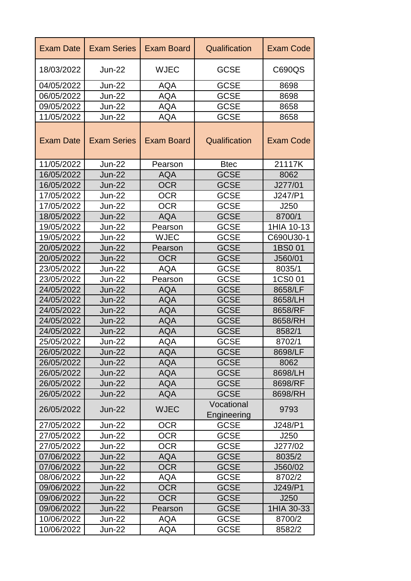| <b>Exam Date</b> | <b>Exam Series</b> | <b>Exam Board</b> | Qualification             | <b>Exam Code</b> |
|------------------|--------------------|-------------------|---------------------------|------------------|
| 18/03/2022       | $Jun-22$           | <b>WJEC</b>       | <b>GCSE</b>               | C690QS           |
| 04/05/2022       | <b>Jun-22</b>      | <b>AQA</b>        | <b>GCSE</b>               | 8698             |
| 06/05/2022       | <b>Jun-22</b>      | <b>AQA</b>        | <b>GCSE</b>               | 8698             |
| 09/05/2022       | <b>Jun-22</b>      | <b>AQA</b>        | <b>GCSE</b>               | 8658             |
| 11/05/2022       | <b>Jun-22</b>      | <b>AQA</b>        | <b>GCSE</b>               | 8658             |
| <b>Exam Date</b> | <b>Exam Series</b> | <b>Exam Board</b> | Qualification             | <b>Exam Code</b> |
| 11/05/2022       | <b>Jun-22</b>      | Pearson           | <b>Btec</b>               | 21117K           |
| 16/05/2022       | <b>Jun-22</b>      | <b>AQA</b>        | <b>GCSE</b>               | 8062             |
| 16/05/2022       | <b>Jun-22</b>      | <b>OCR</b>        | <b>GCSE</b>               | J277/01          |
| 17/05/2022       | <b>Jun-22</b>      | <b>OCR</b>        | <b>GCSE</b>               | J247/P1          |
| 17/05/2022       | <b>Jun-22</b>      | <b>OCR</b>        | <b>GCSE</b>               | J250             |
| 18/05/2022       | <b>Jun-22</b>      | <b>AQA</b>        | <b>GCSE</b>               | 8700/1           |
| 19/05/2022       | $Jun-22$           | Pearson           | <b>GCSE</b>               | 1HIA 10-13       |
| 19/05/2022       | $Jun-22$           | <b>WJEC</b>       | <b>GCSE</b>               | C690U30-1        |
| 20/05/2022       | <b>Jun-22</b>      | Pearson           | <b>GCSE</b>               | 1BS0 01          |
| 20/05/2022       | <b>Jun-22</b>      | <b>OCR</b>        | <b>GCSE</b>               | J560/01          |
| 23/05/2022       | <b>Jun-22</b>      | AQA               | <b>GCSE</b>               | 8035/1           |
| 23/05/2022       | <b>Jun-22</b>      | Pearson           | <b>GCSE</b>               | 1CS0 01          |
| 24/05/2022       | <b>Jun-22</b>      | AQA               | <b>GCSE</b>               | 8658/LF          |
| 24/05/2022       | <b>Jun-22</b>      | <b>AQA</b>        | <b>GCSE</b>               | 8658/LH          |
| 24/05/2022       | <b>Jun-22</b>      | AQA               | <b>GCSE</b>               | 8658/RF          |
| 24/05/2022       | <b>Jun-22</b>      | <b>AQA</b>        | <b>GCSE</b>               | 8658/RH          |
| 24/05/2022       | $Jun-22$           | <b>AQA</b>        | <b>GCSE</b>               | 8582/1           |
| 25/05/2022       | <b>Jun-22</b>      | <b>AQA</b>        | <b>GCSE</b>               | 8702/1           |
| 26/05/2022       | <b>Jun-22</b>      | <b>AQA</b>        | <b>GCSE</b>               | 8698/LF          |
| 26/05/2022       | <b>Jun-22</b>      | <b>AQA</b>        | <b>GCSE</b>               | 8062             |
| 26/05/2022       | <b>Jun-22</b>      | <b>AQA</b>        | <b>GCSE</b>               | 8698/LH          |
| 26/05/2022       | <b>Jun-22</b>      | <b>AQA</b>        | <b>GCSE</b>               | 8698/RF          |
| 26/05/2022       | <b>Jun-22</b>      | <b>AQA</b>        | <b>GCSE</b>               | 8698/RH          |
| 26/05/2022       | <b>Jun-22</b>      | <b>WJEC</b>       | Vocational<br>Engineering | 9793             |
| 27/05/2022       | <b>Jun-22</b>      | <b>OCR</b>        | <b>GCSE</b>               | J248/P1          |
| 27/05/2022       | <b>Jun-22</b>      | <b>OCR</b>        | <b>GCSE</b>               | J250             |
| 27/05/2022       | <b>Jun-22</b>      | <b>OCR</b>        | <b>GCSE</b>               | J277/02          |
| 07/06/2022       | <b>Jun-22</b>      | <b>AQA</b>        | <b>GCSE</b>               | 8035/2           |
| 07/06/2022       | <b>Jun-22</b>      | <b>OCR</b>        | <b>GCSE</b>               | J560/02          |
| 08/06/2022       | <b>Jun-22</b>      | <b>AQA</b>        | <b>GCSE</b>               | 8702/2           |
| 09/06/2022       | <b>Jun-22</b>      | <b>OCR</b>        | <b>GCSE</b>               | J249/P1          |
| 09/06/2022       | <b>Jun-22</b>      | <b>OCR</b>        | <b>GCSE</b>               | J250             |
| 09/06/2022       | <b>Jun-22</b>      | Pearson           | <b>GCSE</b>               | 1HIA 30-33       |
| 10/06/2022       | <b>Jun-22</b>      | AQA               | <b>GCSE</b>               | 8700/2           |
| 10/06/2022       | <b>Jun-22</b>      | AQA               | <b>GCSE</b>               | 8582/2           |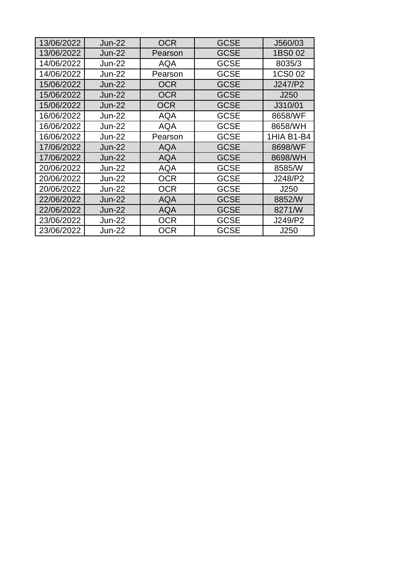| 13/06/2022<br><b>OCR</b><br><b>GCSE</b><br><b>Jun-22</b><br>J560/03<br>13/06/2022<br><b>GCSE</b><br>1BS0 02<br><b>Jun-22</b><br>Pearson<br>14/06/2022<br><b>Jun-22</b><br><b>GCSE</b><br>8035/3<br>AQA<br>14/06/2022<br><b>GCSE</b><br>1CS0 02<br><b>Jun-22</b><br>Pearson<br>15/06/2022<br><b>Jun-22</b><br><b>OCR</b><br><b>GCSE</b><br>J247/P2<br>15/06/2022<br><b>Jun-22</b><br><b>OCR</b><br><b>GCSE</b><br>J250<br>15/06/2022<br><b>Jun-22</b><br><b>OCR</b><br><b>GCSE</b><br>J310/01<br>16/06/2022<br><b>GCSE</b><br><b>Jun-22</b><br><b>AQA</b><br>8658/WF<br>16/06/2022<br><b>AQA</b><br><b>GCSE</b><br><b>Jun-22</b><br>8658/WH<br>16/06/2022<br><b>GCSE</b><br>1HIA B1-B4<br>$Jun-22$<br>Pearson<br>17/06/2022<br><b>GCSE</b><br><b>Jun-22</b><br>8698/WF<br>AQA<br>17/06/2022<br><b>Jun-22</b><br><b>AQA</b><br><b>GCSE</b><br>8698/WH<br>20/06/2022<br><b>GCSE</b><br><b>Jun-22</b><br><b>AQA</b><br>8585/W<br>20/06/2022<br><b>GCSE</b><br><b>Jun-22</b><br>OCR<br>J248/P2<br>20/06/2022<br><b>Jun-22</b><br><b>OCR</b><br><b>GCSE</b><br>J250<br>22/06/2022<br><b>Jun-22</b><br><b>GCSE</b><br>8852/W<br>AQA<br>22/06/2022<br><b>GCSE</b><br>8271/W<br><b>Jun-22</b><br>AQA<br>23/06/2022<br>OCR<br><b>GCSE</b><br>J249/P2<br><b>Jun-22</b> |            |               |     |             |      |
|-------------------------------------------------------------------------------------------------------------------------------------------------------------------------------------------------------------------------------------------------------------------------------------------------------------------------------------------------------------------------------------------------------------------------------------------------------------------------------------------------------------------------------------------------------------------------------------------------------------------------------------------------------------------------------------------------------------------------------------------------------------------------------------------------------------------------------------------------------------------------------------------------------------------------------------------------------------------------------------------------------------------------------------------------------------------------------------------------------------------------------------------------------------------------------------------------------------------------------------------------------------|------------|---------------|-----|-------------|------|
|                                                                                                                                                                                                                                                                                                                                                                                                                                                                                                                                                                                                                                                                                                                                                                                                                                                                                                                                                                                                                                                                                                                                                                                                                                                             |            |               |     |             |      |
|                                                                                                                                                                                                                                                                                                                                                                                                                                                                                                                                                                                                                                                                                                                                                                                                                                                                                                                                                                                                                                                                                                                                                                                                                                                             |            |               |     |             |      |
|                                                                                                                                                                                                                                                                                                                                                                                                                                                                                                                                                                                                                                                                                                                                                                                                                                                                                                                                                                                                                                                                                                                                                                                                                                                             |            |               |     |             |      |
|                                                                                                                                                                                                                                                                                                                                                                                                                                                                                                                                                                                                                                                                                                                                                                                                                                                                                                                                                                                                                                                                                                                                                                                                                                                             |            |               |     |             |      |
|                                                                                                                                                                                                                                                                                                                                                                                                                                                                                                                                                                                                                                                                                                                                                                                                                                                                                                                                                                                                                                                                                                                                                                                                                                                             |            |               |     |             |      |
|                                                                                                                                                                                                                                                                                                                                                                                                                                                                                                                                                                                                                                                                                                                                                                                                                                                                                                                                                                                                                                                                                                                                                                                                                                                             |            |               |     |             |      |
|                                                                                                                                                                                                                                                                                                                                                                                                                                                                                                                                                                                                                                                                                                                                                                                                                                                                                                                                                                                                                                                                                                                                                                                                                                                             |            |               |     |             |      |
|                                                                                                                                                                                                                                                                                                                                                                                                                                                                                                                                                                                                                                                                                                                                                                                                                                                                                                                                                                                                                                                                                                                                                                                                                                                             |            |               |     |             |      |
|                                                                                                                                                                                                                                                                                                                                                                                                                                                                                                                                                                                                                                                                                                                                                                                                                                                                                                                                                                                                                                                                                                                                                                                                                                                             |            |               |     |             |      |
|                                                                                                                                                                                                                                                                                                                                                                                                                                                                                                                                                                                                                                                                                                                                                                                                                                                                                                                                                                                                                                                                                                                                                                                                                                                             |            |               |     |             |      |
|                                                                                                                                                                                                                                                                                                                                                                                                                                                                                                                                                                                                                                                                                                                                                                                                                                                                                                                                                                                                                                                                                                                                                                                                                                                             |            |               |     |             |      |
|                                                                                                                                                                                                                                                                                                                                                                                                                                                                                                                                                                                                                                                                                                                                                                                                                                                                                                                                                                                                                                                                                                                                                                                                                                                             |            |               |     |             |      |
|                                                                                                                                                                                                                                                                                                                                                                                                                                                                                                                                                                                                                                                                                                                                                                                                                                                                                                                                                                                                                                                                                                                                                                                                                                                             |            |               |     |             |      |
|                                                                                                                                                                                                                                                                                                                                                                                                                                                                                                                                                                                                                                                                                                                                                                                                                                                                                                                                                                                                                                                                                                                                                                                                                                                             |            |               |     |             |      |
|                                                                                                                                                                                                                                                                                                                                                                                                                                                                                                                                                                                                                                                                                                                                                                                                                                                                                                                                                                                                                                                                                                                                                                                                                                                             |            |               |     |             |      |
|                                                                                                                                                                                                                                                                                                                                                                                                                                                                                                                                                                                                                                                                                                                                                                                                                                                                                                                                                                                                                                                                                                                                                                                                                                                             |            |               |     |             |      |
|                                                                                                                                                                                                                                                                                                                                                                                                                                                                                                                                                                                                                                                                                                                                                                                                                                                                                                                                                                                                                                                                                                                                                                                                                                                             |            |               |     |             |      |
|                                                                                                                                                                                                                                                                                                                                                                                                                                                                                                                                                                                                                                                                                                                                                                                                                                                                                                                                                                                                                                                                                                                                                                                                                                                             |            |               |     |             |      |
|                                                                                                                                                                                                                                                                                                                                                                                                                                                                                                                                                                                                                                                                                                                                                                                                                                                                                                                                                                                                                                                                                                                                                                                                                                                             | 23/06/2022 | <b>Jun-22</b> | OCR | <b>GCSE</b> | J250 |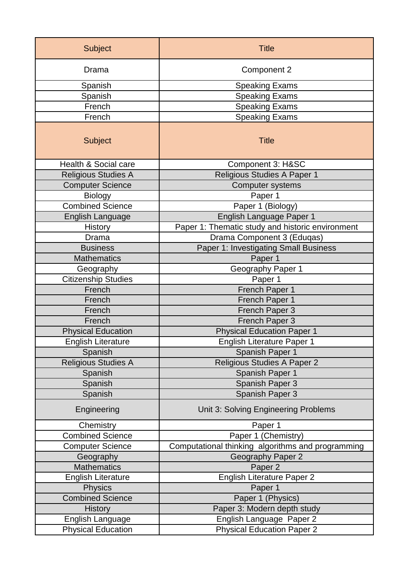| <b>Subject</b>             | <b>Title</b>                                      |  |
|----------------------------|---------------------------------------------------|--|
| Drama                      | Component 2                                       |  |
| Spanish                    | <b>Speaking Exams</b>                             |  |
| Spanish                    | <b>Speaking Exams</b>                             |  |
| French                     | <b>Speaking Exams</b>                             |  |
| French                     | <b>Speaking Exams</b>                             |  |
| <b>Subject</b>             | <b>Title</b>                                      |  |
| Health & Social care       | Component 3: H&SC                                 |  |
| <b>Religious Studies A</b> | Religious Studies A Paper 1                       |  |
| <b>Computer Science</b>    | <b>Computer systems</b>                           |  |
| <b>Biology</b>             | Paper 1                                           |  |
| <b>Combined Science</b>    | Paper 1 (Biology)                                 |  |
| English Language           | English Language Paper 1                          |  |
| <b>History</b>             | Paper 1: Thematic study and historic environment  |  |
| <b>Drama</b>               | Drama Component 3 (Eduqas)                        |  |
| <b>Business</b>            | Paper 1: Investigating Small Business             |  |
| <b>Mathematics</b>         | Paper 1                                           |  |
| Geography                  | Geography Paper 1                                 |  |
| <b>Citizenship Studies</b> | Paper 1                                           |  |
| French                     | French Paper 1                                    |  |
| French                     | French Paper 1                                    |  |
| French                     | French Paper 3                                    |  |
| French                     | French Paper 3                                    |  |
| <b>Physical Education</b>  | <b>Physical Education Paper 1</b>                 |  |
| <b>English Literature</b>  | English Literature Paper 1                        |  |
| Spanish                    | Spanish Paper 1                                   |  |
| Religious Studies A        | Religious Studies A Paper 2                       |  |
| Spanish                    | Spanish Paper 1                                   |  |
| Spanish                    | Spanish Paper 3                                   |  |
| Spanish                    | Spanish Paper 3                                   |  |
| Engineering                | Unit 3: Solving Engineering Problems              |  |
| Chemistry                  | Paper 1                                           |  |
| <b>Combined Science</b>    | Paper 1 (Chemistry)                               |  |
| <b>Computer Science</b>    | Computational thinking algorithms and programming |  |
| Geography                  | <b>Geography Paper 2</b>                          |  |
| <b>Mathematics</b>         | Paper <sub>2</sub>                                |  |
| <b>English Literature</b>  | <b>English Literature Paper 2</b>                 |  |
| <b>Physics</b>             | Paper 1                                           |  |
| <b>Combined Science</b>    | Paper 1 (Physics)                                 |  |
| <b>History</b>             | Paper 3: Modern depth study                       |  |
| English Language           | English Language Paper 2                          |  |
| <b>Physical Education</b>  | <b>Physical Education Paper 2</b>                 |  |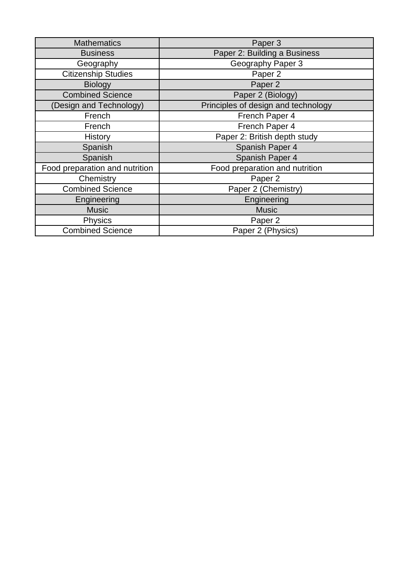| <b>Mathematics</b>             | Paper 3                             |
|--------------------------------|-------------------------------------|
| <b>Business</b>                | Paper 2: Building a Business        |
| Geography                      | Geography Paper 3                   |
| <b>Citizenship Studies</b>     | Paper 2                             |
| <b>Biology</b>                 | Paper <sub>2</sub>                  |
| <b>Combined Science</b>        | Paper 2 (Biology)                   |
| (Design and Technology)        | Principles of design and technology |
| French                         | French Paper 4                      |
| French                         | French Paper 4                      |
| History                        | Paper 2: British depth study        |
| Spanish                        | Spanish Paper 4                     |
| Spanish                        | Spanish Paper 4                     |
| Food preparation and nutrition | Food preparation and nutrition      |
| Chemistry                      | Paper <sub>2</sub>                  |
| <b>Combined Science</b>        | Paper 2 (Chemistry)                 |
| Engineering                    | Engineering                         |
| <b>Music</b>                   | <b>Music</b>                        |
| <b>Physics</b>                 | Paper <sub>2</sub>                  |
| <b>Combined Science</b>        | Paper 2 (Physics)                   |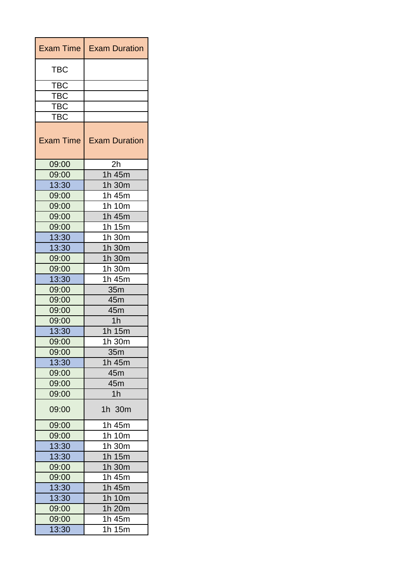| <b>Exam Time</b> | <b>Exam Duration</b> |
|------------------|----------------------|
| <b>TBC</b>       |                      |
| <b>TBC</b>       |                      |
| TBC              |                      |
| TBC              |                      |
| TBC              |                      |
| <b>Exam Time</b> | <b>Exam Duration</b> |
| 09:00            | 2h                   |
| 09:00            | 1h 45m               |
| 13:30            | 1h 30m               |
| 09:00            | 1h 45m               |
| 09:00            | 1h 10m               |
| 09:00            | 1h 45m               |
| 09:00            | 1h 15m               |
| 13:30            | 1h 30m               |
| 13:30            | 1h 30m               |
| 09:00            | 1h 30m               |
| 09:00            | 1h 30m               |
| 13:30            | 1h 45m               |
| 09:00            | 35m                  |
| 09:00            | 45m                  |
| 09:00            | 45m                  |
| 09:00            | 1 <sub>h</sub>       |
| 13:30            | 1h 15m               |
| 09:00            | 1h 30m               |
| 09:00            | 35m                  |
| 13:30            | 1h 45m               |
| 09:00            | 45m                  |
| 09:00            | 45m                  |
| 09:00            | 1 <sub>h</sub>       |
| 09:00            | 1h 30m               |
| 09:00            | 1h 45m               |
| 09:00            | 1h 10m               |
| 13:30            | 1h 30m               |
| 13:30            | 1h 15m               |
| 09:00            | 1h 30m               |
| 09:00            | 1h 45m               |
| 13:30            | 1h 45m               |
| 13:30            | 1h 10m               |
| 09:00            | 1h 20m               |
| 09:00            | 1h 45m               |
| 13:30            | 1h 15m               |